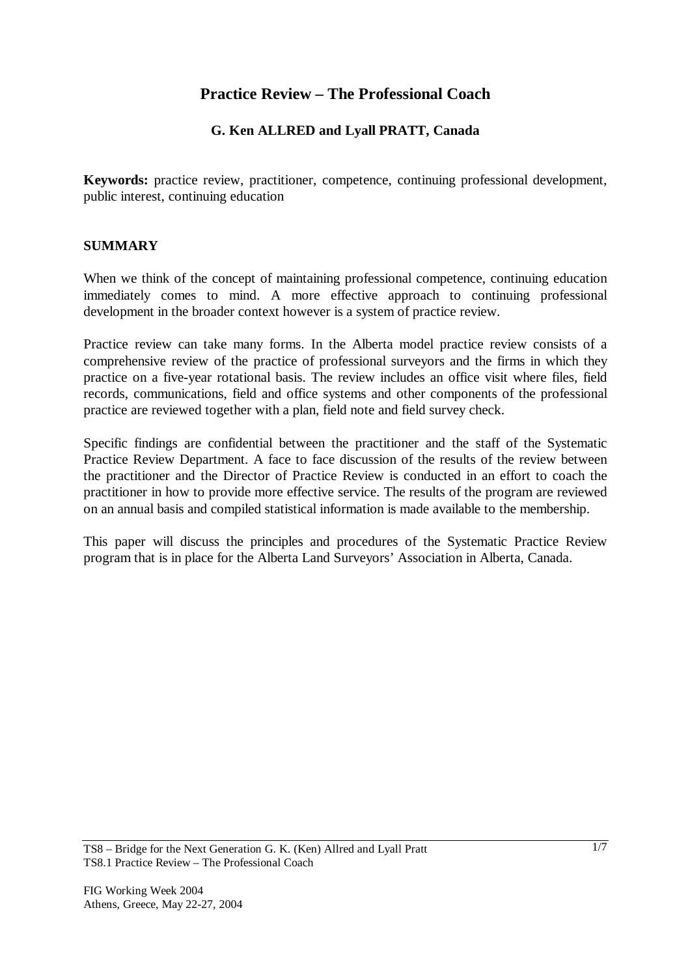# **Practice Review – The Professional Coach**

## **G. Ken ALLRED and Lyall PRATT, Canada**

**Keywords:** practice review, practitioner, competence, continuing professional development, public interest, continuing education

### **SUMMARY**

When we think of the concept of maintaining professional competence, continuing education immediately comes to mind. A more effective approach to continuing professional development in the broader context however is a system of practice review.

Practice review can take many forms. In the Alberta model practice review consists of a comprehensive review of the practice of professional surveyors and the firms in which they practice on a five-year rotational basis. The review includes an office visit where files, field records, communications, field and office systems and other components of the professional practice are reviewed together with a plan, field note and field survey check.

Specific findings are confidential between the practitioner and the staff of the Systematic Practice Review Department. A face to face discussion of the results of the review between the practitioner and the Director of Practice Review is conducted in an effort to coach the practitioner in how to provide more effective service. The results of the program are reviewed on an annual basis and compiled statistical information is made available to the membership.

This paper will discuss the principles and procedures of the Systematic Practice Review program that is in place for the Alberta Land Surveyors' Association in Alberta, Canada.

TS8 – Bridge for the Next Generation G. K. (Ken) Allred and Lyall Pratt TS8.1 Practice Review – The Professional Coach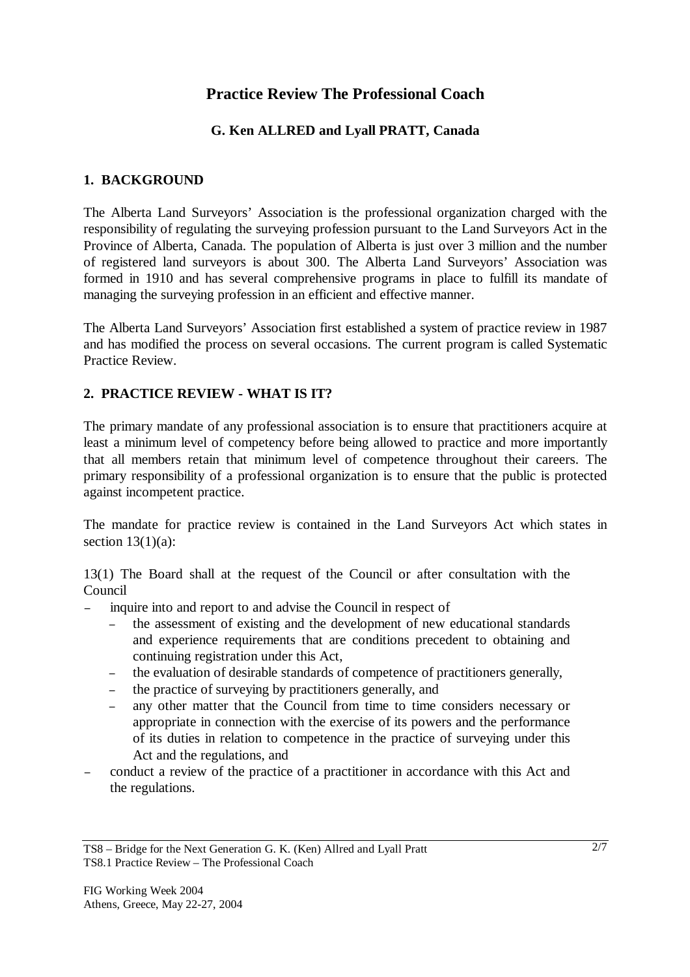# **Practice Review The Professional Coach**

## **G. Ken ALLRED and Lyall PRATT, Canada**

### **1. BACKGROUND**

The Alberta Land Surveyors' Association is the professional organization charged with the responsibility of regulating the surveying profession pursuant to the Land Surveyors Act in the Province of Alberta, Canada. The population of Alberta is just over 3 million and the number of registered land surveyors is about 300. The Alberta Land Surveyors' Association was formed in 1910 and has several comprehensive programs in place to fulfill its mandate of managing the surveying profession in an efficient and effective manner.

The Alberta Land Surveyors' Association first established a system of practice review in 1987 and has modified the process on several occasions. The current program is called Systematic Practice Review.

### **2. PRACTICE REVIEW - WHAT IS IT?**

The primary mandate of any professional association is to ensure that practitioners acquire at least a minimum level of competency before being allowed to practice and more importantly that all members retain that minimum level of competence throughout their careers. The primary responsibility of a professional organization is to ensure that the public is protected against incompetent practice.

The mandate for practice review is contained in the Land Surveyors Act which states in section  $13(1)(a)$ :

13(1) The Board shall at the request of the Council or after consultation with the Council

inquire into and report to and advise the Council in respect of

- the assessment of existing and the development of new educational standards and experience requirements that are conditions precedent to obtaining and continuing registration under this Act,
- the evaluation of desirable standards of competence of practitioners generally,
- the practice of surveying by practitioners generally, and
- <sup>−</sup>any other matter that the Council from time to time considers necessary or appropriate in connection with the exercise of its powers and the performance of its duties in relation to competence in the practice of surveying under this Act and the regulations, and
- <sup>−</sup>conduct a review of the practice of a practitioner in accordance with this Act and the regulations.

TS8 – Bridge for the Next Generation G. K. (Ken) Allred and Lyall Pratt TS8.1 Practice Review – The Professional Coach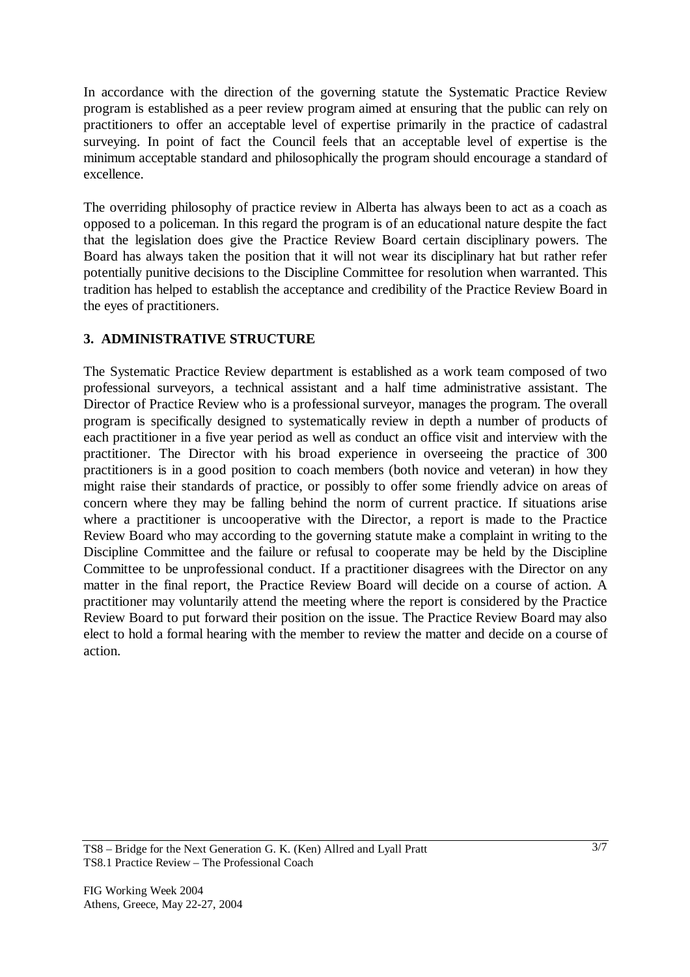In accordance with the direction of the governing statute the Systematic Practice Review program is established as a peer review program aimed at ensuring that the public can rely on practitioners to offer an acceptable level of expertise primarily in the practice of cadastral surveying. In point of fact the Council feels that an acceptable level of expertise is the minimum acceptable standard and philosophically the program should encourage a standard of excellence.

The overriding philosophy of practice review in Alberta has always been to act as a coach as opposed to a policeman. In this regard the program is of an educational nature despite the fact that the legislation does give the Practice Review Board certain disciplinary powers. The Board has always taken the position that it will not wear its disciplinary hat but rather refer potentially punitive decisions to the Discipline Committee for resolution when warranted. This tradition has helped to establish the acceptance and credibility of the Practice Review Board in the eyes of practitioners.

## **3. ADMINISTRATIVE STRUCTURE**

The Systematic Practice Review department is established as a work team composed of two professional surveyors, a technical assistant and a half time administrative assistant. The Director of Practice Review who is a professional surveyor, manages the program. The overall program is specifically designed to systematically review in depth a number of products of each practitioner in a five year period as well as conduct an office visit and interview with the practitioner. The Director with his broad experience in overseeing the practice of 300 practitioners is in a good position to coach members (both novice and veteran) in how they might raise their standards of practice, or possibly to offer some friendly advice on areas of concern where they may be falling behind the norm of current practice. If situations arise where a practitioner is uncooperative with the Director, a report is made to the Practice Review Board who may according to the governing statute make a complaint in writing to the Discipline Committee and the failure or refusal to cooperate may be held by the Discipline Committee to be unprofessional conduct. If a practitioner disagrees with the Director on any matter in the final report, the Practice Review Board will decide on a course of action. A practitioner may voluntarily attend the meeting where the report is considered by the Practice Review Board to put forward their position on the issue. The Practice Review Board may also elect to hold a formal hearing with the member to review the matter and decide on a course of action.

TS8 – Bridge for the Next Generation G. K. (Ken) Allred and Lyall Pratt TS8.1 Practice Review – The Professional Coach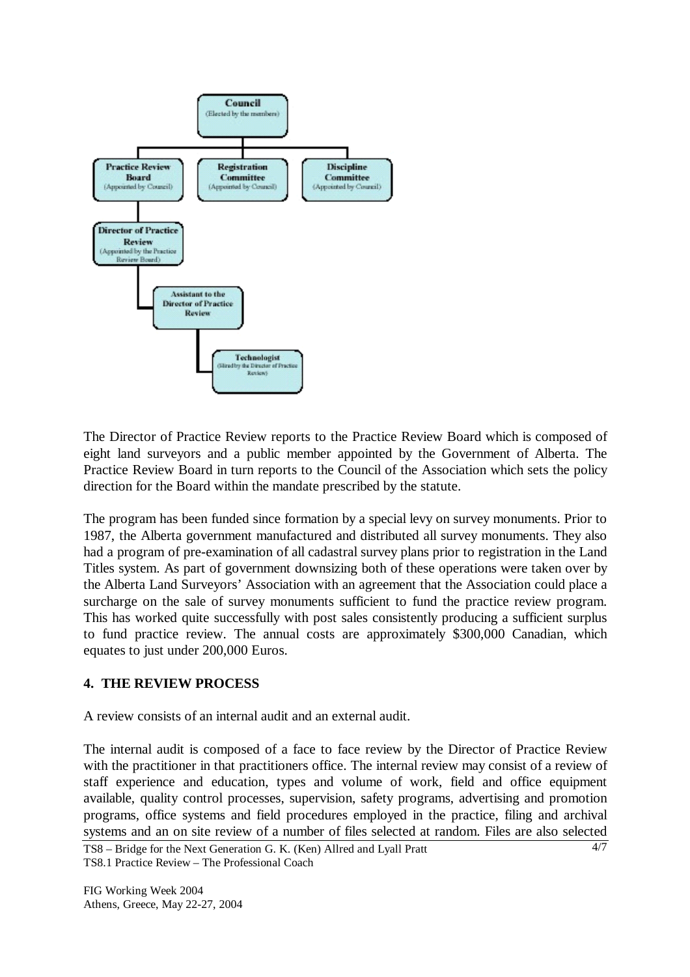

The Director of Practice Review reports to the Practice Review Board which is composed of eight land surveyors and a public member appointed by the Government of Alberta. The Practice Review Board in turn reports to the Council of the Association which sets the policy direction for the Board within the mandate prescribed by the statute.

The program has been funded since formation by a special levy on survey monuments. Prior to 1987, the Alberta government manufactured and distributed all survey monuments. They also had a program of pre-examination of all cadastral survey plans prior to registration in the Land Titles system. As part of government downsizing both of these operations were taken over by the Alberta Land Surveyors' Association with an agreement that the Association could place a surcharge on the sale of survey monuments sufficient to fund the practice review program. This has worked quite successfully with post sales consistently producing a sufficient surplus to fund practice review. The annual costs are approximately \$300,000 Canadian, which equates to just under 200,000 Euros.

#### **4. THE REVIEW PROCESS**

A review consists of an internal audit and an external audit.

The internal audit is composed of a face to face review by the Director of Practice Review with the practitioner in that practitioners office. The internal review may consist of a review of staff experience and education, types and volume of work, field and office equipment available, quality control processes, supervision, safety programs, advertising and promotion programs, office systems and field procedures employed in the practice, filing and archival systems and an on site review of a number of files selected at random. Files are also selected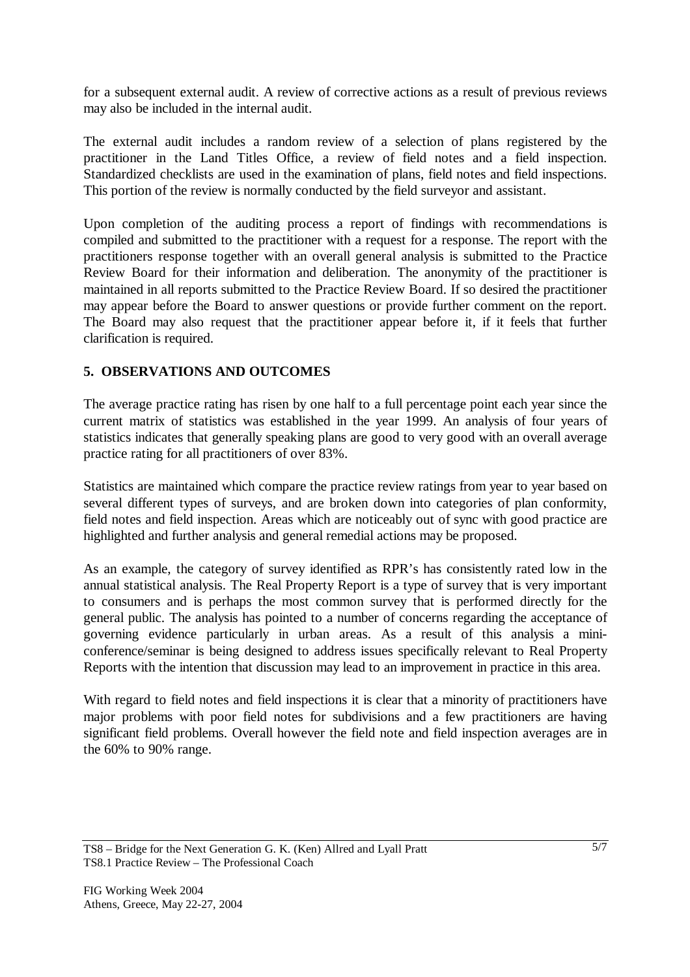for a subsequent external audit. A review of corrective actions as a result of previous reviews may also be included in the internal audit.

The external audit includes a random review of a selection of plans registered by the practitioner in the Land Titles Office, a review of field notes and a field inspection. Standardized checklists are used in the examination of plans, field notes and field inspections. This portion of the review is normally conducted by the field surveyor and assistant.

Upon completion of the auditing process a report of findings with recommendations is compiled and submitted to the practitioner with a request for a response. The report with the practitioners response together with an overall general analysis is submitted to the Practice Review Board for their information and deliberation. The anonymity of the practitioner is maintained in all reports submitted to the Practice Review Board. If so desired the practitioner may appear before the Board to answer questions or provide further comment on the report. The Board may also request that the practitioner appear before it, if it feels that further clarification is required.

### **5. OBSERVATIONS AND OUTCOMES**

The average practice rating has risen by one half to a full percentage point each year since the current matrix of statistics was established in the year 1999. An analysis of four years of statistics indicates that generally speaking plans are good to very good with an overall average practice rating for all practitioners of over 83%.

Statistics are maintained which compare the practice review ratings from year to year based on several different types of surveys, and are broken down into categories of plan conformity, field notes and field inspection. Areas which are noticeably out of sync with good practice are highlighted and further analysis and general remedial actions may be proposed.

As an example, the category of survey identified as RPR's has consistently rated low in the annual statistical analysis. The Real Property Report is a type of survey that is very important to consumers and is perhaps the most common survey that is performed directly for the general public. The analysis has pointed to a number of concerns regarding the acceptance of governing evidence particularly in urban areas. As a result of this analysis a miniconference/seminar is being designed to address issues specifically relevant to Real Property Reports with the intention that discussion may lead to an improvement in practice in this area.

With regard to field notes and field inspections it is clear that a minority of practitioners have major problems with poor field notes for subdivisions and a few practitioners are having significant field problems. Overall however the field note and field inspection averages are in the 60% to 90% range.

TS8 – Bridge for the Next Generation G. K. (Ken) Allred and Lyall Pratt TS8.1 Practice Review – The Professional Coach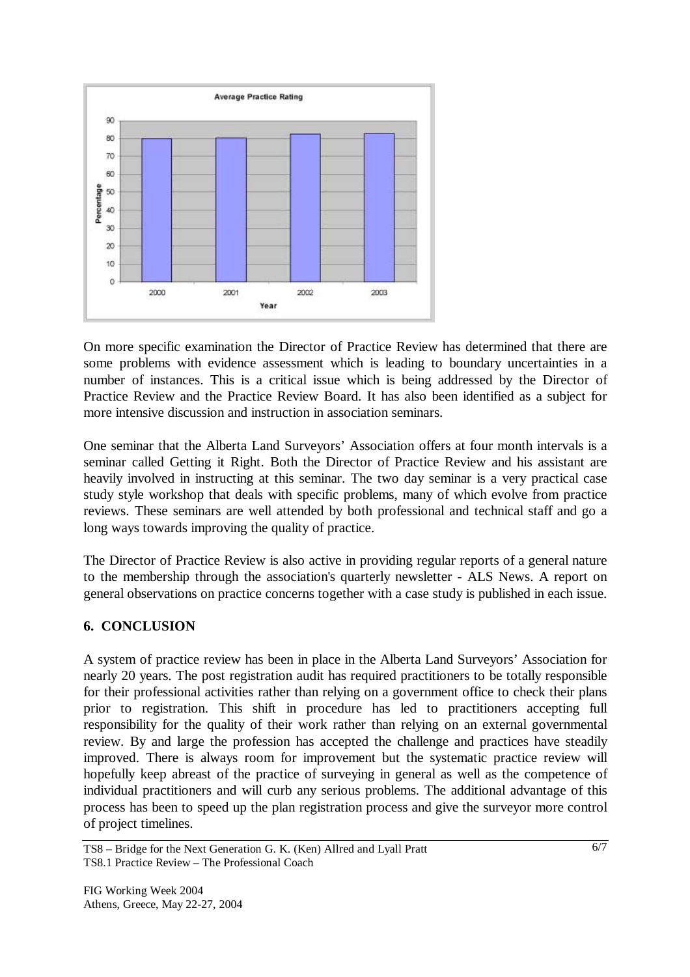

On more specific examination the Director of Practice Review has determined that there are some problems with evidence assessment which is leading to boundary uncertainties in a number of instances. This is a critical issue which is being addressed by the Director of Practice Review and the Practice Review Board. It has also been identified as a subject for more intensive discussion and instruction in association seminars.

One seminar that the Alberta Land Surveyors' Association offers at four month intervals is a seminar called Getting it Right. Both the Director of Practice Review and his assistant are heavily involved in instructing at this seminar. The two day seminar is a very practical case study style workshop that deals with specific problems, many of which evolve from practice reviews. These seminars are well attended by both professional and technical staff and go a long ways towards improving the quality of practice.

The Director of Practice Review is also active in providing regular reports of a general nature to the membership through the association's quarterly newsletter - ALS News. A report on general observations on practice concerns together with a case study is published in each issue.

### **6. CONCLUSION**

A system of practice review has been in place in the Alberta Land Surveyors' Association for nearly 20 years. The post registration audit has required practitioners to be totally responsible for their professional activities rather than relying on a government office to check their plans prior to registration. This shift in procedure has led to practitioners accepting full responsibility for the quality of their work rather than relying on an external governmental review. By and large the profession has accepted the challenge and practices have steadily improved. There is always room for improvement but the systematic practice review will hopefully keep abreast of the practice of surveying in general as well as the competence of individual practitioners and will curb any serious problems. The additional advantage of this process has been to speed up the plan registration process and give the surveyor more control of project timelines.

TS8 – Bridge for the Next Generation G. K. (Ken) Allred and Lyall Pratt TS8.1 Practice Review – The Professional Coach